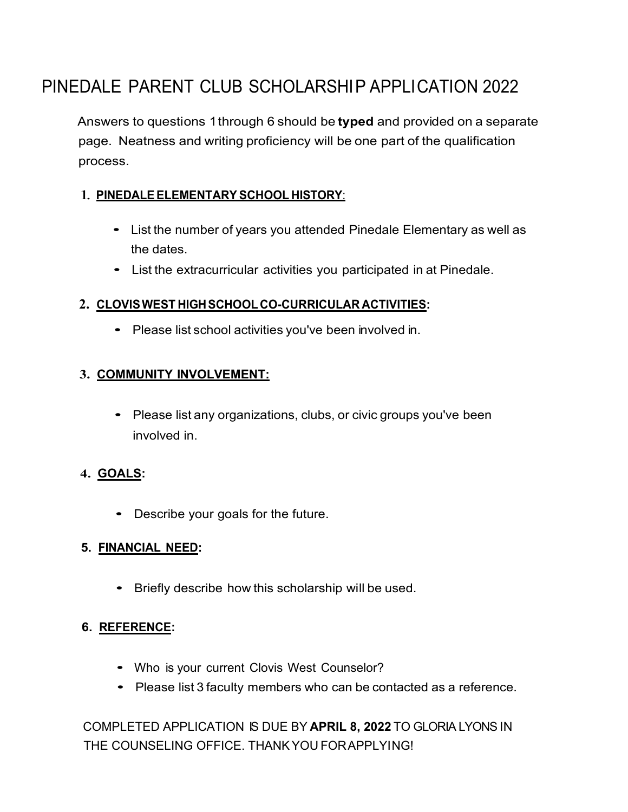# PINEDALE PARENT CLUB SCHOLARSHIP APPLICATION 2022

Answers to questions 1through 6 should be **typed** and provided on a separate page. Neatness and writing proficiency will be one part of the qualification process.

### 1. **PINEDALEELEMENTARY SCHOOL HISTORY**:

- List the number of years you attended Pinedale Elementary as well as the dates.
- List the extracurricular activities you participated in at Pinedale.

#### **2. CLOVISWEST HIGHSCHOOL CO-CURRICULAR ACTIVITIES:**

• Please list school activities you've been involved in.

#### **3. COMMUNITY INVOLVEMENT:**

• Please list any organizations, clubs, or civic groups you've been involved in.

#### **4. GOALS:**

• Describe your goals for the future.

#### **5. FINANCIAL NEED:**

• Briefly describe how this scholarship will be used.

#### **6. REFERENCE:**

- Who is your current Clovis West Counselor?
- Please list <sup>3</sup> faculty members who can be contacted as <sup>a</sup> reference.

COMPLETED APPLICATION IS DUE BY **APRIL 8, 2022** TO GLORIA LYONS IN THE COUNSELING OFFICE. THANKYOU FORAPPLYING!